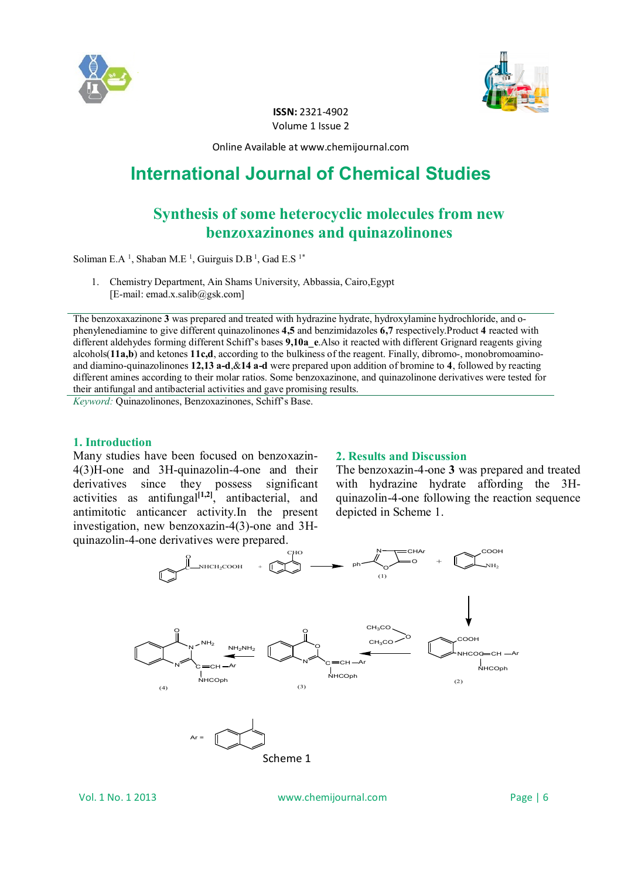



**ISSN:** 2321-4902 Volume 1 Issue 2

Online Available at www.chemijournal.com

# **International Journal of Chemical Studies**

# **Synthesis of some heterocyclic molecules from new benzoxazinones and quinazolinones**

Soliman E.A<sup>1</sup>, Shaban M.E<sup>1</sup>, Guirguis D.B<sup>1</sup>, Gad E.S<sup>1\*</sup>

1. Chemistry Department, Ain Shams University, Abbassia, Cairo,Egypt  $[E-mail: emad.x.salib@gsk.com]$ 

The benzoxaxazinone **3** was prepared and treated with hydrazine hydrate, hydroxylamine hydrochloride, and ophenylenediamine to give different quinazolinones **4,5** and benzimidazoles **6,7** respectively.Product **4** reacted with different aldehydes forming different Schiff's bases **9,10a\_e**.Also it reacted with different Grignard reagents giving alcohols(**11a,b**) and ketones **11c,d**, according to the bulkiness of the reagent. Finally, dibromo-, monobromoaminoand diamino-quinazolinones **12,13 a-d**,&**14 a-d** were prepared upon addition of bromine to **4**, followed by reacting different amines according to their molar ratios. Some benzoxazinone, and quinazolinone derivatives were tested for their antifungal and antibacterial activities and gave promising results.

*Keyword:* Quinazolinones, Benzoxazinones, Schiff's Base.

#### **1. Introduction**

Many studies have been focused on benzoxazin-4(3)H-one and 3H-quinazolin-4-one and their derivatives since they possess significant activities as antifungal $\begin{bmatrix} 1 & 2 \end{bmatrix}$ , antibacterial, and antimitotic anticancer activity.In the present investigation, new benzoxazin-4(3)-one and 3Hquinazolin-4-one derivatives were prepared.

#### **2. Results and Discussion**

The benzoxazin-4-one **3** was prepared and treated with hydrazine hydrate affording the 3Hquinazolin-4-one following the reaction sequence depicted in Scheme 1.



Vol. 1 No. 1 2013 www.chemijournal.com Page | 6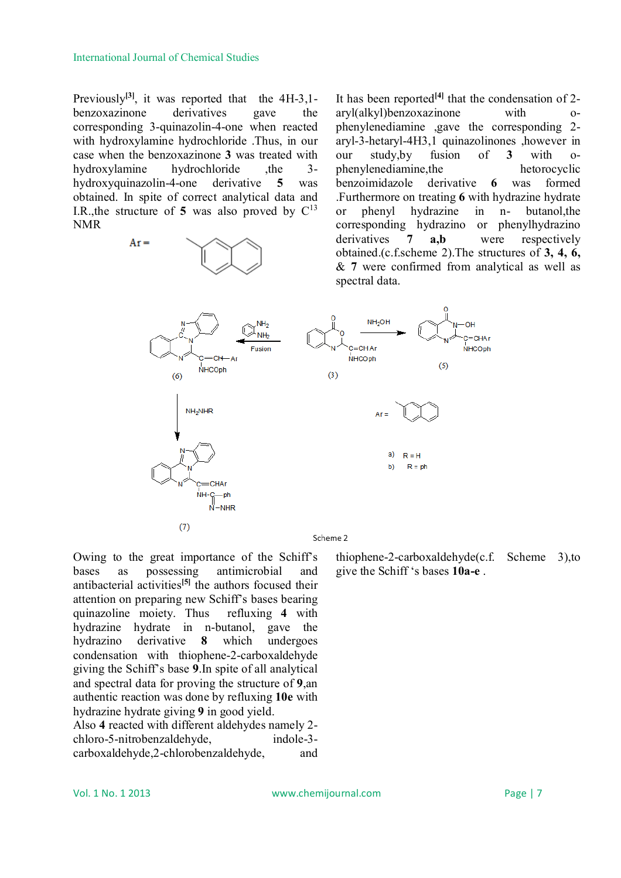#### International Journal of Chemical Studies

Previously<sup>[3]</sup>, it was reported that the 4H-3,1benzoxazinone derivatives gave the corresponding 3-quinazolin-4-one when reacted with hydroxylamine hydrochloride .Thus, in our case when the benzoxazinone **3** was treated with hydroxylamine hydrochloride , the 3hydroxyquinazolin-4-one derivative **5** was obtained. In spite of correct analytical data and I.R., the structure of 5 was also proved by  $C^{13}$ NMR

 $Ar =$ 

It has been reported**[4]** that the condensation of 2 aryl(alkyl)benzoxazinone with ophenylenediamine ,gave the corresponding 2 aryl-3-hetaryl-4H3,1 quinazolinones ,however in our study,by fusion of **3** with ophenylenediamine,the hetorocyclic benzoimidazole derivative **6** was formed .Furthermore on treating **6** with hydrazine hydrate or phenyl hydrazine in n- butanol,the corresponding hydrazino or phenylhydrazino derivatives **7 a,b** were respectively obtained.(c.f.scheme 2).The structures of **3, 4, 6,**  & **7** were confirmed from analytical as well as spectral data.



Owing to the great importance of the Schiff's bases as possessing antimicrobial and antibacterial activities**[5]** the authors focused their attention on preparing new Schiff's bases bearing quinazoline moiety. Thus refluxing **4** with hydrazine hydrate in n-butanol, gave the hydrazino derivative **8** which undergoes condensation with thiophene-2-carboxaldehyde giving the Schiff's base **9**.In spite of all analytical and spectral data for proving the structure of **9**,an authentic reaction was done by refluxing **10e** with hydrazine hydrate giving **9** in good yield.

Also **4** reacted with different aldehydes namely 2 chloro-5-nitrobenzaldehyde, indole-3 carboxaldehyde,2-chlorobenzaldehyde, and thiophene-2-carboxaldehyde(c.f. Scheme 3),to give the Schiff 's bases **10a-e** .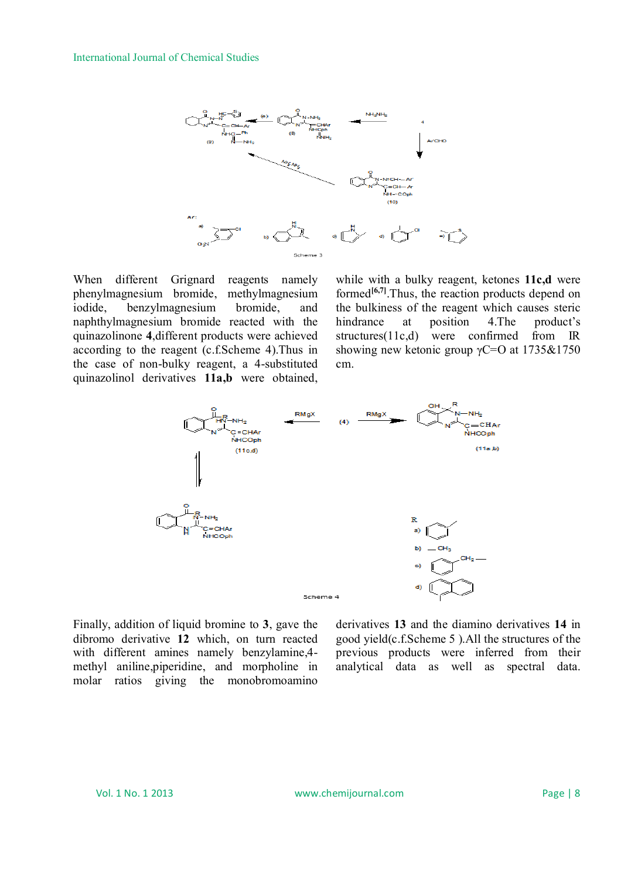

When different Grignard reagents namely phenylmagnesium bromide, methylmagnesium iodide, benzylmagnesium bromide, and naphthylmagnesium bromide reacted with the quinazolinone **4**,different products were achieved according to the reagent (c.f.Scheme 4).Thus in the case of non-bulky reagent, a 4-substituted quinazolinol derivatives **11a,b** were obtained,

while with a bulky reagent, ketones **11c,d** were formed<sup>[6,7]</sup>. Thus, the reaction products depend on the bulkiness of the reagent which causes steric hindrance at position 4. The product's structures(11c,d) were confirmed from IR showing new ketonic group  $\gamma$ C=O at 1735&1750 cm.



Finally, addition of liquid bromine to **3**, gave the dibromo derivative **12** which, on turn reacted with different amines namely benzylamine,4 methyl aniline,piperidine, and morpholine in molar ratios giving the monobromoamino

derivatives **13** and the diamino derivatives **14** in good yield(c.f.Scheme 5 ).All the structures of the previous products were inferred from their analytical data as well as spectral data.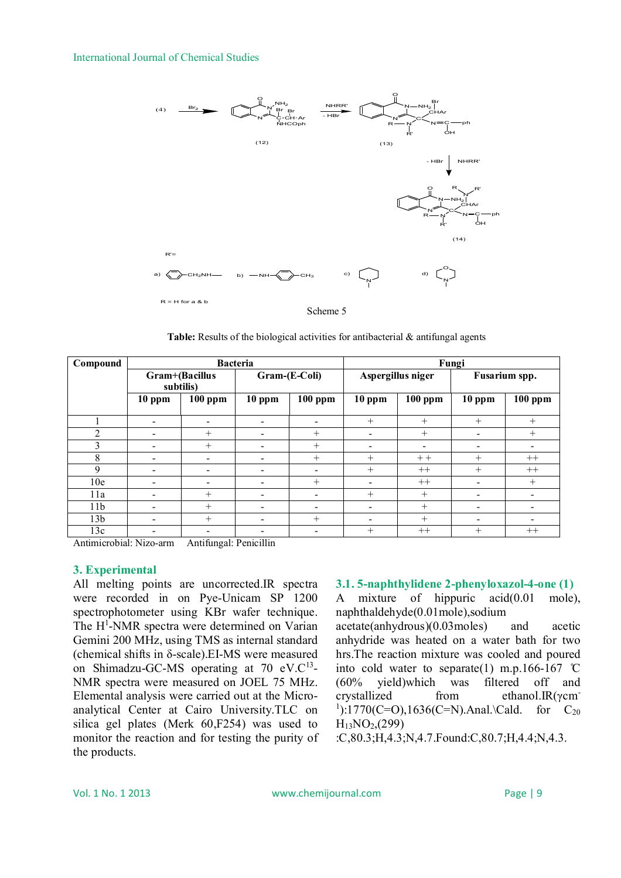#### International Journal of Chemical Studies



**Table:** Results of the biological activities for antibacterial & antifungal agents

| Compound        | <b>Bacteria</b>             |                              |                          |           | Fungi             |           |                              |                          |
|-----------------|-----------------------------|------------------------------|--------------------------|-----------|-------------------|-----------|------------------------------|--------------------------|
|                 | Gram+(Bacillus<br>subtilis) |                              | Gram-(E-Coli)            |           | Aspergillus niger |           | Fusarium spp.                |                          |
|                 | $10$ ppm                    | $100$ ppm                    | $10$ ppm                 | $100$ ppm | $10$ ppm          | $100$ ppm | $10$ ppm                     | $100$ ppm                |
|                 | -                           | $\overline{\phantom{0}}$     | $\overline{\phantom{a}}$ |           | $^{+}$            | $^{+}$    | $^{+}$                       | $+$                      |
| $\overline{2}$  | -                           | $^{+}$                       | $\overline{\phantom{0}}$ | $^{+}$    |                   | $+$       | $\overline{\phantom{0}}$     | $^{+}$                   |
| 3               | -                           | $^{+}$                       | $\overline{\phantom{0}}$ | $^{+}$    |                   | $\,$      |                              | $\overline{\phantom{a}}$ |
| 8               | -                           | $\qquad \qquad \blacksquare$ | $\overline{\phantom{0}}$ | $^{+}$    | $^{+}$            | $++$      | $^{+}$                       | $++$                     |
| 9               |                             |                              |                          |           | $^{+}$            | $++$      | $^{+}$                       | $++$                     |
| 10 <sub>e</sub> |                             | -                            |                          | $^{+}$    |                   | $++$      | -                            | $+$                      |
| 11a             | -                           | $^{+}$                       | $\overline{\phantom{0}}$ |           | $+$               | $^{+}$    | $\qquad \qquad \blacksquare$ | $\overline{\phantom{a}}$ |
| 11 <sub>b</sub> |                             | $^{+}$                       | $\overline{\phantom{0}}$ |           |                   | $^{+}$    | $\,$                         | $\overline{\phantom{a}}$ |
| 13 <sub>b</sub> |                             | $^{+}$                       | -                        | $+$       |                   | $^{+}$    | -                            | $\blacksquare$           |
| 13c             |                             |                              | $\overline{\phantom{0}}$ |           | $+$               | $++$      | $^{+}$                       | $++$                     |

Antimicrobial: Nizo-arm Antifungal: Penicillin

#### **3. Experimental**

All melting points are uncorrected.IR spectra were recorded in on Pye-Unicam SP 1200 spectrophotometer using KBr wafer technique. The H<sup>1</sup>-NMR spectra were determined on Varian Gemini 200 MHz, using TMS as internal standard (chemical shifts in δ-scale).EI-MS were measured on Shimadzu-GC-MS operating at 70 eV.C<sup>13</sup>-NMR spectra were measured on JOEL 75 MHz. Elemental analysis were carried out at the Microanalytical Center at Cairo University.TLC on silica gel plates (Merk 60,F254) was used to monitor the reaction and for testing the purity of the products.

# **3.1. 5-naphthylidene 2-phenyloxazol-4-one (1)**

A mixture of hippuric acid(0.01 mole), naphthaldehyde(0.01mole),sodium acetate(anhydrous)(0.03moles) and acetic anhydride was heated on a water bath for two hrs.The reaction mixture was cooled and poured into cold water to separate(1) m.p.166-167  $\degree$ C (60% yield)which was filtered off and crystallized from ethanol.IR(γcm- $1$ ):1770(C=O),1636(C=N).Anal.\Cald. for C<sub>20</sub>  $H_{13}NO_{2,(299)}$ 

:C,80.3;H,4.3;N,4.7.Found:C,80.7;H,4.4;N,4.3.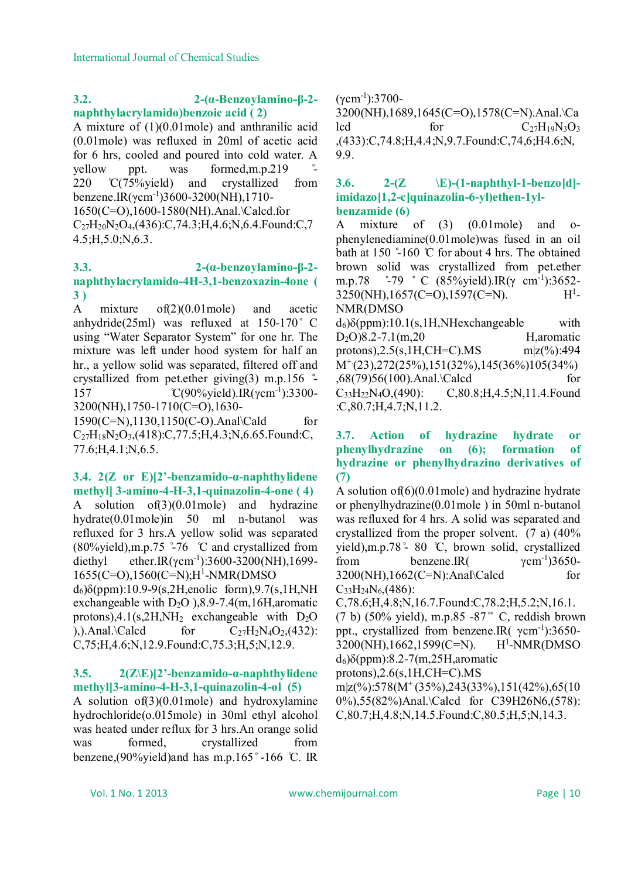# **3.2. 2-(α-Benzoylamino-β-2 naphthylacrylamido)benzoic acid ( 2)**

A mixture of (1)(0.01mole) and anthranilic acid (0.01mole) was refluxed in 20ml of acetic acid for 6 hrs, cooled and poured into cold water. A yellow ppt. was formed, m.p. 219 220 °C(75%yield) and crystallized from benzene.IR(γcm-1 )3600-3200(NH),1710- 1650(C=O),1600-1580(NH).Anal.\Calcd.for  $C_{27}H_{20}N_{2}O_{4}$ , (436): C, 74.3; H, 4.6; N, 6.4. Found: C, 7 4.5;H,5.0;N,6.3.

#### **3.3. 2-(α-benzoylamino-β-2 naphthylacrylamido-4H-3,1-benzoxazin-4one ( 3 )**

A mixture of(2)(0.01mole) and acetic anhydride(25ml) was refluxed at  $150-170$   $\degree$  C using "Water Separator System" for one hr. The mixture was left under hood system for half an hr., a yellow solid was separated, filtered off and crystallized from pet.ether giving(3) m.p.156 ̊- 157 C(90%yield).IR(γcm<sup>-1</sup>):3300-3200(NH),1750-1710(C=O),1630-

1590(C=N),1130,1150(C-O).Anal\Cald for C27H18N2O3,(418):C,77.5;H,4.3;N,6.65.Found:C, 77.6;H,4.1;N,6.5.

# **3.4. 2(Z or E)[2'-benzamido-α-naphthylidene methyl] 3-amino-4-H-3,1-quinazolin-4-one ( 4)**

A solution of(3)(0.01mole) and hydrazine hydrate(0.01mole)in 50 ml n-butanol was refluxed for 3 hrs.A yellow solid was separated  $(80\%$ yield),m.p.75  $\degree$ -76 °C and crystallized from diethyl ether.IR( $\gamma$ cm<sup>-1</sup>):3600-3200(NH),1699-1655(C=O),1560(C=N);H<sup>1</sup> -NMR(DMSO  $d<sub>6</sub>$ )δ(ppm):10.9-9(s,2H,enolic form),9.7(s,1H,NH

exchangeable with  $D_2O$  ), 8.9-7.4(m, 16H, aromatic protons), $4.1$ (s, $2H$ , $NH_2$  exchangeable with D<sub>2</sub>O ),).Anal.\Calcd for  $C_{27}H_2N_4O_2$ ,(432): C,75;H,4.6;N,12.9.Found:C,75.3;H,5;N,12.9.

#### **3.5. 2(Z\E)[2'-benzamido-α-naphthylidene methyl]3-amino-4-H-3,1-quinazolin-4-ol (5)**

A solution of(3)(0.01mole) and hydroxylamine hydrochloride(o.015mole) in 30ml ethyl alcohol was heated under reflux for 3 hrs.An orange solid was formed, crystallized from benzene,(90%yield)and has m.p.165°-166 °C. IR

 $(\gamma$ cm<sup>-1</sup>):3700-

3200(NH),1689,1645(C=O),1578(C=N).Anal.\Ca lcd for C27H19N3O<sup>3</sup> ,(433):C,74.8;H,4.4;N,9.7.Found:C,74,6;H4.6;N, 9.9.

#### **3.6. 2-(Z \E)-(1-naphthyl-1-benzo[d] imidazo[1,2-c]quinazolin-6-yl)ethen-1ylbenzamide (6)**

A mixture of (3) (0.01mole) and ophenylenediamine(0.01mole)was fused in an oil bath at 150 $\degree$ -160  $\degree$ C for about 4 hrs. The obtained brown solid was crystallized from pet.ether m.p.78 ° -79 ° C (85% yield).IR(γ cm<sup>-1</sup>):3652- $3250(NH)$ ,1657(C=O),1597(C=N).  $H^1$ -NMR(DMSO

 $d_6$ )δ(ppm):10.1(s,1H,NHexchangeable with  $D_2O$ )8.2-7.1(m,20 H,aromatic protons),2.5(s,1H,CH=C).MS m|z(%):494  $M^+(23)$ ,272(25%),151(32%),145(36%)105(34%) ,68(79)56(100).Anal.\Calcd for C33H22N4O,(490): C,80.8;H,4.5;N,11.4.Found :C,80.7;H,4.7;N,11.2.

#### **3.7. Action of hydrazine hydrate or phenylhydrazine on (6); formation of hydrazine or phenylhydrazino derivatives of (7)**

A solution of  $(6)(0.01)$  mole) and hydrazine hydrate or phenylhydrazine(0.01mole ) in 50ml n-butanol was refluxed for 4 hrs. A solid was separated and crystallized from the proper solvent. (7 a) (40% yield),m.p.78 ̊- 80 ̊C, brown solid, crystallized from benzene.IR(  $\gamma$ cm<sup>-1</sup>)3650-3200(NH),1662(C=N):Anal\Calcd for  $C_{33}H_{24}N_{6}$ , (486): C,78.6;H,4.8;N,16.7.Found:C,78.2;H,5.2;N,16.1.  $(7 b)$  (50% yield), m.p.85 -87<sup>°</sup> C, reddish brown ppt., crystallized from benzene.IR( $γ$ cm<sup>-1</sup>):3650- $3200(NH)$ ,1662,1599(C=N).  $H^1$ -NMR(DMSO d6)δ(ppm):8.2-7(m,25H,aromatic protons), $2.6$ (s, $1H$ ,CH=C).MS  $m|z(%):578(M^+(35%),243(33%),151(42%),65(10))$ 0%),55(82%)Anal.\Calcd for C39H26N6,(578): C,80.7;H,4.8;N,14.5.Found:C,80.5;H,5;N,14.3.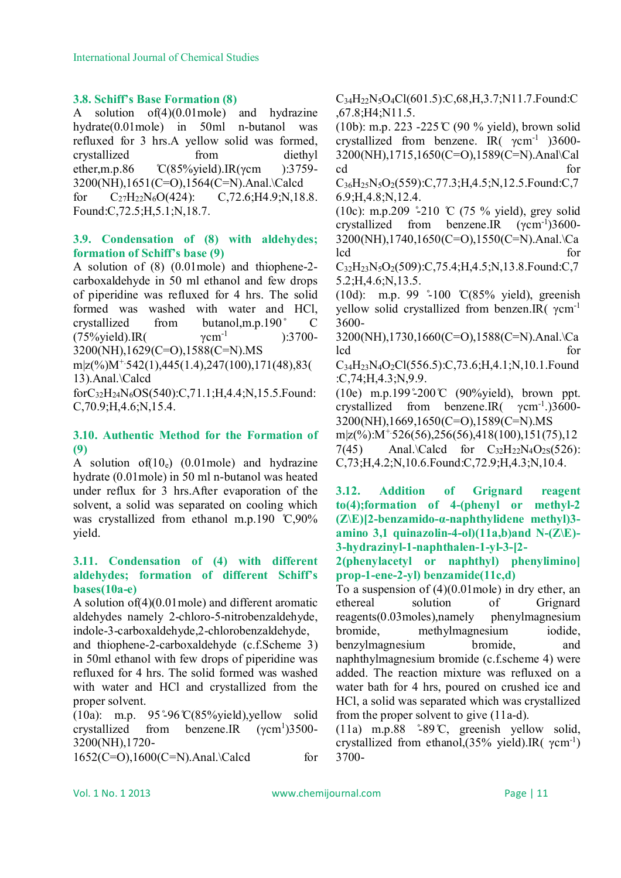#### **3.8. Schiff's Base Formation (8)**

A solution of(4)(0.01mole) and hydrazine hydrate(0.01mole) in 50ml n-butanol was refluxed for 3 hrs.A yellow solid was formed, crystallized from diethyl ether, m.p.86 °C(85% vield).IR(γcm ):3759-3200(NH),1651(C=O),1564(C=N).Anal.\Calcd for  $C_{27}H_{22}N_6O(424)$ :  $C_{72.6}M_{4.9}N_{18.8}$ . Found:C,72.5;H,5.1;N,18.7.

#### **3.9. Condensation of (8) with aldehydes; formation of Schiff's base (9)**

A solution of (8) (0.01mole) and thiophene-2 carboxaldehyde in 50 ml ethanol and few drops of piperidine was refluxed for 4 hrs. The solid formed was washed with water and HCl, crystallized from butanol,m.p.190 ̊ C  $(75\% \text{yield})$ .IR $(\gamma \text{cm}^{-1})$ ):3700- 3200(NH),1629(C=O),1588(C=N).MS

m|z(%)M<sup>+</sup>542(1),445(1.4),247(100),171(48),83( 13).Anal.\Calcd

forC32H24N6OS(540):C,71.1;H,4.4;N,15.5.Found: C,70.9;H,4.6;N,15.4.

# **3.10. Authentic Method for the Formation of (9)**

A solution of $(10_e)$   $(0.01$ mole) and hydrazine hydrate (0.01mole) in 50 ml n-butanol was heated under reflux for 3 hrs.After evaporation of the solvent, a solid was separated on cooling which was crystallized from ethanol m.p.190 °C,90% yield.

# **3.11. Condensation of (4) with different aldehydes; formation of different Schiff's bases(10a-e)**

A solution of(4)(0.01mole) and different aromatic aldehydes namely 2-chloro-5-nitrobenzaldehyde, indole-3-carboxaldehyde,2-chlorobenzaldehyde,

and thiophene-2-carboxaldehyde (c.f.Scheme 3) in 50ml ethanol with few drops of piperidine was refluxed for 4 hrs. The solid formed was washed with water and HCl and crystallized from the proper solvent.

(10a): m.p.  $95^{\degree}96^{\degree}C(85\%$ yield), yellow solid crystallized from benzene.IR  $(\gamma$ cm<sup>1</sup>)3500-3200(NH),1720-

1652(C=O),1600(C=N).Anal.\Calcd for

C34H22N5O4Cl(601.5):C,68,H,3.7;N11.7.Found:C ,67.8;H4;N11.5.

(10b): m.p. 223 -225  $\mathbb{C}$  (90 % yield), brown solid crystallized from benzene. IR( $\gamma$ cm<sup>-1</sup>)3600-3200(NH),1715,1650(C=O),1589(C=N).Anal\Cal cd for

 $C_{36}H_{25}N_5O_2(559)$ :C,77.3;H,4.5;N,12.5.Found:C,7 6.9;H,4.8;N,12.4.

(10c): m.p.209  $\degree$ -210 °C (75 % yield), grey solid crystallized from benzene.IR  $(\gamma \text{cm}^{-1})3600 -$ 3200(NH),1740,1650(C=O),1550(C=N).Anal.\Ca lcd for

C32H23N5O2(509):C,75.4;H,4.5;N,13.8.Found:C,7 5.2;H,4.6;N,13.5.

 $(10d)$ : m.p. 99  $\degree$ 100 °C(85% yield), greenish yellow solid crystallized from benzen.IR( γcm-1 3600-

3200(NH),1730,1660(C=O),1588(C=N).Anal.\Ca lcd for

C34H23N4O2Cl(556.5):C,73.6;H,4.1;N,10.1.Found :C,74;H,4.3;N,9.9.

(10e) m.p.199 $\degree$ -200 °C (90%yield), brown ppt. crystallized from benzene.IR $(\gamma cm^{-1})$ .)3600-3200(NH),1669,1650(C=O),1589(C=N).MS

 $m|z(%):M^{+}526(56),256(56),418(100),151(75),12$ 7(45) Anal.\Calcd for  $C_{32}H_{22}N_4O_{2S}(526)$ : C,73;H,4.2;N,10.6.Found:C,72.9;H,4.3;N,10.4.

**3.12. Addition of Grignard reagent to(4);formation of 4-(phenyl or methyl-2 (Z\E)[2-benzamido-α-naphthylidene methyl)3 amino 3,1 quinazolin-4-ol)(11a,b)and N-(Z\E)- 3-hydrazinyl-1-naphthalen-1-yl-3-[2-**

**2(phenylacetyl or naphthyl) phenylimino] prop-1-ene-2-yl) benzamide(11c,d)**

To a suspension of (4)(0.01mole) in dry ether, an ethereal solution of Grignard reagents(0.03moles),namely phenylmagnesium bromide, methylmagnesium iodide, benzylmagnesium bromide, and naphthylmagnesium bromide (c.f.scheme 4) were added. The reaction mixture was refluxed on a water bath for 4 hrs, poured on crushed ice and HCl, a solid was separated which was crystallized from the proper solvent to give (11a-d).

(11a) m.p.88  $\degree$ -89°C, greenish yellow solid, crystallized from ethanol,  $(35\%$  yield). IR( $\gamma$ cm<sup>-1</sup>) 3700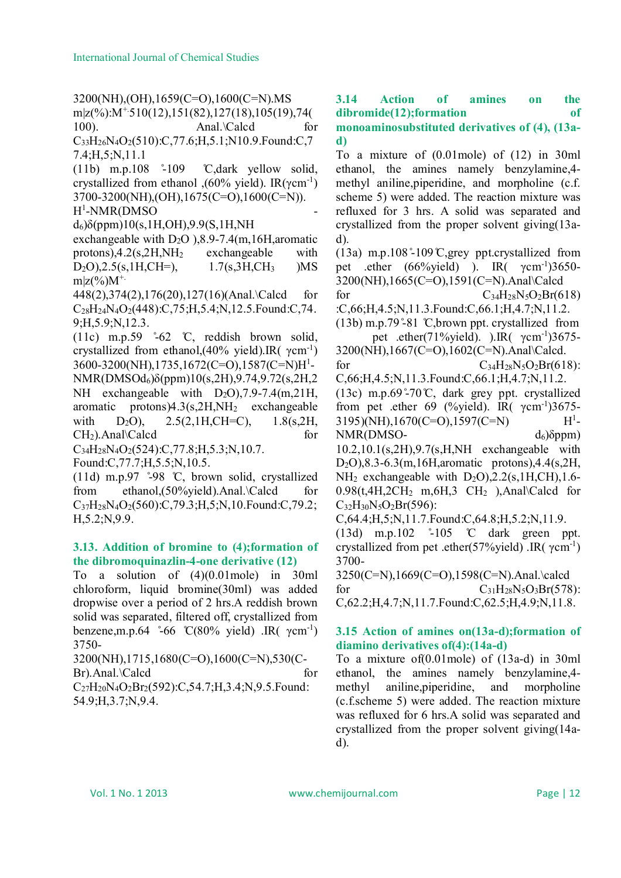3200(NH),(OH),1659(C=O),1600(C=N).MS m|z(%):M+.510(12),151(82),127(18),105(19),74( 100). Anal.\Calcd for

 $C_{33}H_{26}N_4O_2(510)$ :C,77.6;H,5.1;N10.9.Found:C,7 7.4;H,5;N,11.1

 $(11b)$  m.p.108  $\degree$ -109 °C,dark yellow solid, crystallized from ethanol ,  $(60\% \text{ yield})$ . IR(γcm<sup>-1</sup>) 3700-3200(NH),(OH),1675(C=O),1600(C=N)).

H 1 -NMR(DMSO -

 $d_6$ )δ(ppm)10(s,1H,OH),9.9(S,1H,NH

exchangeable with  $D_2O$  ), 8.9-7.4(m, 16H, aromatic protons), $4.2$ (s, $2H$ , $NH<sub>2</sub>$  exchangeable with  $D_2O$ ), $2.5(s, 1H, CH=)$ ,  $1.7(s, 3H, CH_3)$  )MS  $m|z(\frac{9}{6})M^{+}$ .

448(2),374(2),176(20),127(16)(Anal.\Calcd for  $C_{28}H_{24}N_{4}O_{2}(448)$ :C,75;H,5.4;N,12.5.Found:C,74. 9;H,5.9;N,12.3.

(11c) m.p.59  $\degree$ -62 °C, reddish brown solid, crystallized from ethanol,  $(40\%$  yield). IR( γcm<sup>-1</sup>) 3600-3200(NH),1735,1672(C=O),1587(C=N)H<sup>1</sup> - NMR(DMSOd6)δ(ppm)10(s,2H),9.74,9.72(s,2H,2 NH exchangeable with D<sub>2</sub>O), 7.9-7.4(m, 21H, aromatic protons) $4.3$ (s, $2H$ ,NH<sub>2</sub> exchangeable with  $D_2O$ ,  $2.5(2,1H,CH=C)$ ,  $1.8(s,2H,$  $CH<sub>2</sub>$ ).Anal\Calcd for

C34H28N4O2(524):C,77.8;H,5.3;N,10.7.

Found:C,77.7;H,5.5;N,10.5.

(11d) m.p.97  $\degree$ -98 °C, brown solid, crystallized from ethanol,(50%yield).Anal.\Calcd for C37H28N4O2(560):C,79.3;H,5;N,10.Found:C,79.2; H,5.2;N,9.9.

#### **3.13. Addition of bromine to (4);formation of the dibromoquinazlin-4-one derivative (12)**

To a solution of (4)(0.01mole) in 30ml chloroform, liquid bromine(30ml) was added dropwise over a period of 2 hrs.A reddish brown solid was separated, filtered off, crystallized from benzene,m.p.64  $\degree$ -66 °C(80% yield) .IR(  $\gamma$ cm<sup>-1</sup>) 3750-

3200(NH),1715,1680(C=O),1600(C=N),530(C-Br).Anal.\Calcd for  $C_{27}H_{20}N_{4}O_{2}Br_{2}(592)$ :C,54.7;H,3.4;N,9.5.Found:

54.9;H,3.7;N,9.4.

**3.14 Action of amines on the dibromide(12);formation of** 

**monoaminosubstituted derivatives of (4), (13ad)**

To a mixture of (0.01mole) of (12) in 30ml ethanol, the amines namely benzylamine,4 methyl aniline,piperidine, and morpholine (c.f. scheme 5) were added. The reaction mixture was refluxed for 3 hrs. A solid was separated and crystallized from the proper solvent giving(13ad).

(13a) m.p.108 $\degree$ -109 $\degree$ C, grey ppt.crystallized from pet .ether  $(66\%$ yield) ). IR $(\gamma$ cm<sup>-1</sup>)3650-3200(NH),1665(C=O),1591(C=N).Anal\Calcd

for  $C_{34}H_{28}N_5O_2Br(618)$ :C,66;H,4.5;N,11.3.Found:C,66.1;H,4.7;N,11.2.

 $(13b)$  m.p.79 $\degree$ 81 °C, brown ppt. crystallized from pet .ether(71%yield). ).IR( $\gamma$ cm<sup>-1</sup>)3675-

3200(NH),1667(C=O),1602(C=N).Anal\Calcd. for  $C_{34}H_{28}N_5O_2Br(618)$ :

C,66;H,4.5;N,11.3.Found:C,66.1;H,4.7;N,11.2. (13c) m.p.69 $\degree$ -70°C, dark grey ppt. crystallized from pet .ether 69 (%yield). IR( $\gamma$ cm<sup>-1</sup>)3675-3195)(NH),1670(C=O),1597(C=N) H<sup>1</sup>  $H^1$ - $NMR(DMSO- d_6)\delta ppm)$ 

10.2,10.1(s,2H),9.7(s,H,NH exchangeable with D2O),8.3-6.3(m,16H,aromatic protons),4.4(s,2H,  $NH<sub>2</sub>$  exchangeable with  $D<sub>2</sub>O$ ),  $2.2$ (s, 1H, CH), 1.6- $0.98(t,4H,2CH<sub>2</sub> m,6H,3 CH<sub>2</sub>)$ , Anal\Calcd for  $C_{32}H_{30}N_5O_2Br(596)$ :

C,64.4;H,5;N,11.7.Found:C,64.8;H,5.2;N,11.9.

(13d) m.p.102 ̊-105 ̊C dark green ppt. crystallized from pet .ether(57%yield) .IR( $γ$ cm<sup>-1</sup>) 3700-

3250(C=N),1669(C=O),1598(C=N).Anal.\calcd for  $C_{31}H_{28}N_5O_3Br(578)$ : C,62.2;H,4.7;N,11.7.Found:C,62.5;H,4.9;N,11.8.

# **3.15 Action of amines on(13a-d);formation of diamino derivatives of(4):(14a-d)**

To a mixture of(0.01mole) of (13a-d) in 30ml ethanol, the amines namely benzylamine,4 methyl aniline,piperidine, and morpholine (c.f.scheme 5) were added. The reaction mixture was refluxed for 6 hrs.A solid was separated and crystallized from the proper solvent giving(14ad).